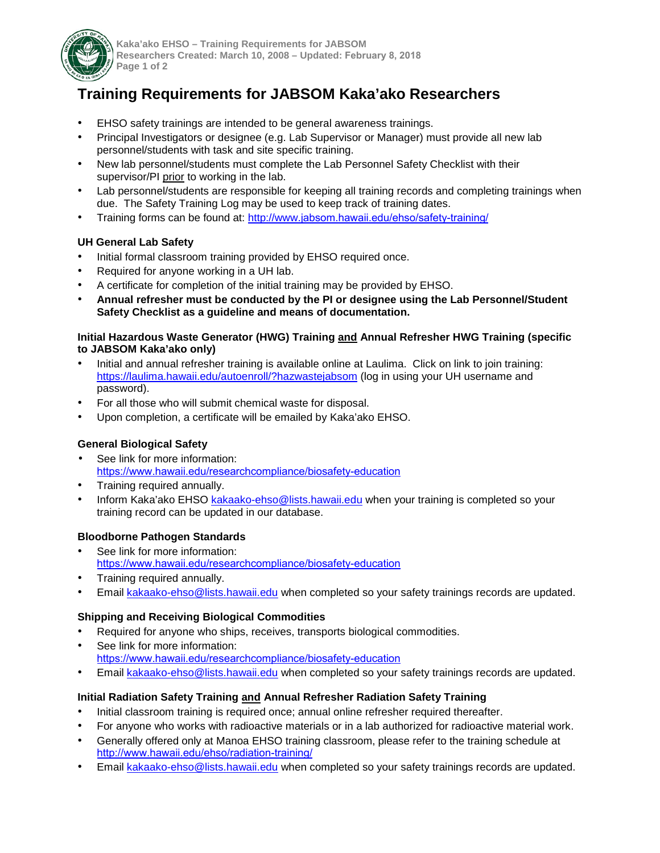

**Kaka'ako EHSO – Training Requirements for JABSOM Researchers Created: March 10, 2008 – Updated: February 8, 2018 Page 1 of 2** 

# **Training Requirements for JABSOM Kaka'ako Researchers**

- EHSO safety trainings are intended to be general awareness trainings.
- Principal Investigators or designee (e.g. Lab Supervisor or Manager) must provide all new lab personnel/students with task and site specific training.
- New lab personnel/students must complete the Lab Personnel Safety Checklist with their supervisor/PI prior to working in the lab.
- Lab personnel/students are responsible for keeping all training records and completing trainings when due. The Safety Training Log may be used to keep track of training dates.
- Training forms can be found at: http://www.[jabsom.hawaii.edu/ehso/safety-training](http://www.jabsom.hawaii.edu/ehso/safety-training/)/

## **UH General Lab Safety**

- Initial formal classroom training provided by EHSO required once.
- Required for anyone working in a UH lab.
- A certificate for completion of the initial training may be provided by EHSO.
- **Annual refresher must be conducted by the PI or designee using the Lab Personnel/Student Safety Checklist as a guideline and means of documentation.**

#### **Initial Hazardous Waste Generator (HWG) Training and Annual Refresher HWG Training (specific to JABSOM Kaka'ako only)**

- Initial and annual refresher training is available online at Laulima. Click on link to join training: <https://laulima.hawaii.edu/autoenroll/?hazwastejabsom> (log in using your UH username and password).
- For all those who will submit chemical waste for disposal.
- Upon completion, a certificate will be emailed by Kaka'ako EHSO.

## **General Biological Safety**

- See link for more information: <https://www.hawaii.edu/researchcompliance/biosafety-education>
- Training required annually.
- Inform Kaka'ako EHSO [kakaako-ehso@lists.hawaii.edu](mailto:kakaako-ehso@lists.hawaii.edu) when your training is completed so your training record can be updated in our database.

## **Bloodborne Pathogen Standards**

- See link for more information: <https://www.hawaii.edu/researchcompliance/biosafety-education>
- Training required annually.
- Email [kakaako-ehso@lists.hawaii.edu](mailto:kakaako-ehso@lists.hawaii.edu) when completed so your safety trainings records are updated.

#### **Shipping and Receiving Biological Commodities**

- Required for anyone who ships, receives, transports biological commodities.
- See link for more information: <https://www.hawaii.edu/researchcompliance/biosafety-education>
- Email [kakaako-ehso@lists.hawaii.edu](mailto:kakaako-ehso@lists.hawaii.edu) when completed so your safety trainings records are updated.

# **Initial Radiation Safety Training and Annual Refresher Radiation Safety Training**

- Initial classroom training is required once; annual online refresher required thereafter.
- For anyone who works with radioactive materials or in a lab authorized for radioactive material work.
- Generally offered only at Manoa EHSO training classroom, please refer to the training schedule at <http://www.hawaii.edu/ehso/radiation-training/>
- Email [kakaako-ehso@lists.hawaii.edu](mailto:kakaako-ehso@lists.hawaii.edu) when completed so your safety trainings records are updated.